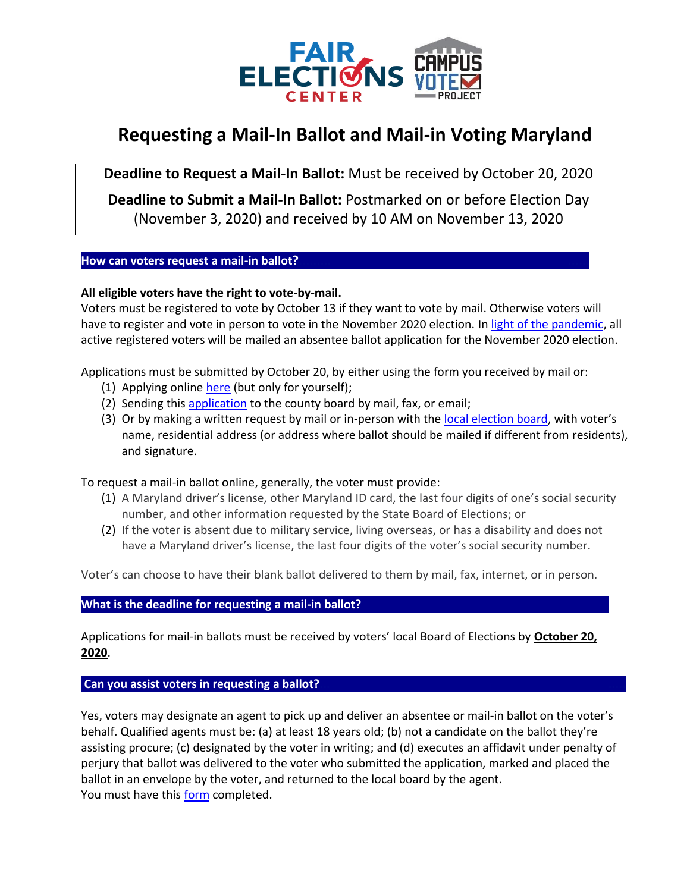

# **Requesting a Mail-In Ballot and Mail-in Voting Maryland**

**Deadline to Request a Mail-In Ballot:** Must be received by October 20, 2020

**Deadline to Submit a Mail-In Ballot:** Postmarked on or before Election Day (November 3, 2020) and received by 10 AM on November 13, 2020

## **How can voters request a mail-in ballot?**

## **All eligible voters have the right to vote-by-mail.**

Voters must be registered to vote by October 13 if they want to vote by mail. Otherwise voters will have to register and vote in person to vote in the November 2020 election. In [light of the pandemic,](https://governor.maryland.gov/2020/07/08/governor-hogan-directs-state-board-of-elections-to-conduct-november-general-election-with-enhanced-voting-options/) all active registered voters will be mailed an absentee ballot application for the November 2020 election.

Applications must be submitted by October 20, by either using the form you received by mail or:

- (1) Applying online [here](https://voterservices.elections.maryland.gov/onlinemailinrequest/InstructionsStep1) (but only for yourself);
- (2) Sending this [application](https://www.elections.maryland.gov/voting/documents/Absentee_Ballot_Application_English.pdf) to the county board by mail, fax, or email;
- (3) Or by making a written request by mail or in-person with the [local election board,](https://www.elections.maryland.gov/about/county_boards.html) with voter's name, residential address (or address where ballot should be mailed if different from residents), and signature.

To request a mail-in ballot online, generally, the voter must provide:

- (1) A Maryland driver's license, other Maryland ID card, the last four digits of one's social security number, and other information requested by the State Board of Elections; or
- (2) If the voter is absent due to military service, living overseas, or has a disability and does not have a Maryland driver's license, the last four digits of the voter's social security number.

Voter's can choose to have their blank ballot delivered to them by mail, fax, internet, or in person.

#### **What is the deadline for requesting a mail-in ballot?**

Applications for mail-in ballots must be received by voters' local Board of Elections by **October 20, 2020**.

#### **Can you assist voters in requesting a ballot?**

Yes, voters may designate an agent to pick up and deliver an absentee or mail-in ballot on the voter's behalf. Qualified agents must be: (a) at least 18 years old; (b) not a candidate on the ballot they're assisting procure; (c) designated by the voter in writing; and (d) executes an affidavit under penalty of perjury that ballot was delivered to the voter who submitted the application, marked and placed the ballot in an envelope by the voter, and returned to the local board by the agent. You must have this [form](https://www.elections.maryland.gov/voting/documents/Designation_of_Agent_Form_Mail-In_Ballot_English.pdf) completed.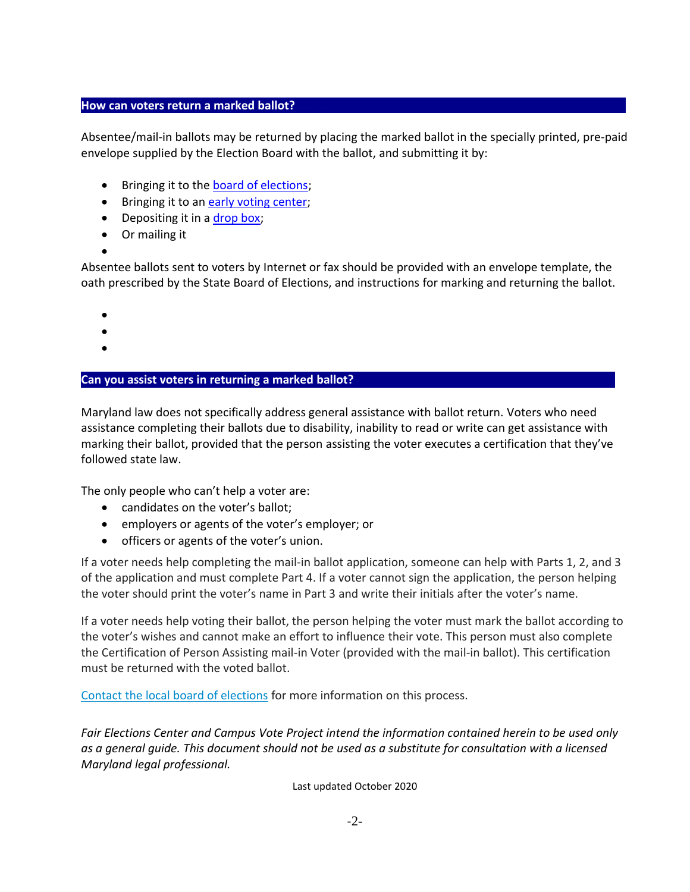### **How can voters return a marked ballot?**

Absentee/mail-in ballots may be returned by placing the marked ballot in the specially printed, pre-paid envelope supplied by the Election Board with the ballot, and submitting it by:

- Bringing it to the [board of elections;](https://www.elections.maryland.gov/about/county_boards.html)
- Bringing it to an [early voting center;](https://elections.maryland.gov/elections/2020/2020%20Early%20Voting%20Centers.pdf)
- Depositing it in a [drop box;](https://elections.maryland.gov/elections/2020/PG20_Drop%20Box%20Locations.pdf)
- Or mailing it
- •

Absentee ballots sent to voters by Internet or fax should be provided with an envelope template, the oath prescribed by the State Board of Elections, and instructions for marking and returning the ballot.

- •
- •
- •

## **Can you assist voters in returning a marked ballot? .**

Maryland law does not specifically address general assistance with ballot return. Voters who need assistance completing their ballots due to disability, inability to read or write can get assistance with marking their ballot, provided that the person assisting the voter executes a certification that they've followed state law.

The only people who can't help a voter are:

- candidates on the voter's ballot;
- employers or agents of the voter's employer; or
- officers or agents of the voter's union.

If a voter needs help completing the mail-in ballot application, someone can help with Parts 1, 2, and 3 of the application and must complete Part 4. If a voter cannot sign the application, the person helping the voter should print the voter's name in Part 3 and write their initials after the voter's name.

If a voter needs help voting their ballot, the person helping the voter must mark the ballot according to the voter's wishes and cannot make an effort to influence their vote. This person must also complete the Certification of Person Assisting mail-in Voter (provided with the mail-in ballot). This certification must be returned with the voted ballot.

Contact the [local board of elections](https://elections.maryland.gov/about/county_boards.html) for more information on this process.

*Fair Elections Center and Campus Vote Project intend the information contained herein to be used only as a general guide. This document should not be used as a substitute for consultation with a licensed Maryland legal professional.*

Last updated October 2020